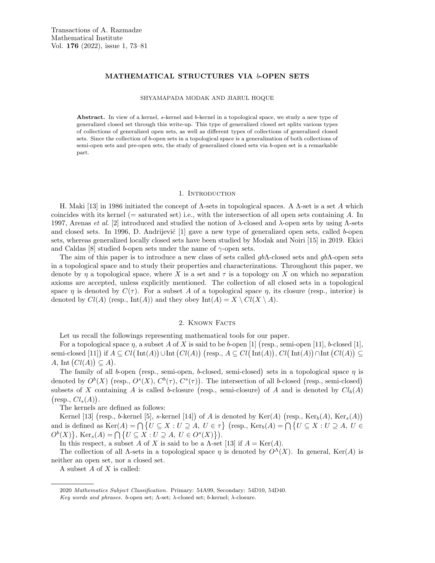# MATHEMATICAL STRUCTURES VIA b-OPEN SETS

### SHYAMAPADA MODAK AND JIARUL HOQUE

Abstract. In view of a kernel, s-kernel and b-kernel in a topological space, we study a new type of generalized closed set through this write-up. This type of generalized closed set splits various types of collections of generalized open sets, as well as different types of collections of generalized closed sets. Since the collection of b-open sets in a topological space is a generalization of both collections of semi-open sets and pre-open sets, the study of generalized closed sets via b-open set is a remarkable part.

### 1. INTRODUCTION

H. Maki [13] in 1986 initiated the concept of  $\Lambda$ -sets in topological spaces. A  $\Lambda$ -set is a set A which coincides with its kernel (= saturated set) i.e., with the intersection of all open sets containing A. In 1997, Arenas *et al.* [2] introduced and studied the notion of  $\lambda$ -closed and  $\lambda$ -open sets by using Λ-sets and closed sets. In 1996, D. Andrijević  $[1]$  gave a new type of generalized open sets, called b-open sets, whereas generalized locally closed sets have been studied by Modak and Noiri [15] in 2019. Ekici and Caldas [8] studied b-open sets under the name of  $\gamma$ -open sets.

The aim of this paper is to introduce a new class of sets called  $gb\Lambda$ -closed sets and  $gb\Lambda$ -open sets in a topological space and to study their properties and characterizations. Throughout this paper, we denote by  $\eta$  a topological space, where X is a set and  $\tau$  is a topology on X on which no separation axioms are accepted, unless explicitly mentioned. The collection of all closed sets in a topological space  $\eta$  is denoted by  $C(\tau)$ . For a subset A of a topological space  $\eta$ , its closure (resp., interior) is denoted by  $Cl(A)$  (resp.,  $Int(A))$  and they obey  $Int(A) = X \setminus Cl(X \setminus A)$ .

### 2. Known Facts

Let us recall the followings representing mathematical tools for our paper.

For a topological space  $\eta$ , a subset A of X is said to be b-open [1] (resp., semi-open [11], b-closed [1], semi-closed [11]) if  $A \subseteq Cl(\text{Int}(A)) \cup \text{Int}(Cl(A))$  (resp.,  $A \subseteq Cl(\text{Int}(A)), Cl(\text{Int}(A)) \cap \text{Int}(Cl(A)) \subseteq$ A, Int  $(Cl(A)) \subseteq A$ .

The family of all b-open (resp., semi-open, b-closed, semi-closed) sets in a topological space  $\eta$  is denoted by  $O^b(X)$  (resp.,  $O^s(X)$ ,  $C^b(\tau)$ ,  $C^s(\tau)$ ). The intersection of all b-closed (resp., semi-closed) subsets of X containing A is called b-closure (resp., semi-closure) of A and is denoted by  $Cl_b(A)$  $\big(\text{resp., } Cl_s(A)\big).$ 

The kernels are defined as follows:

Kernel [13] (resp., b-kernel [5], s-kernel [14]) of A is denoted by  $\text{Ker}(A)$  (resp.,  $\text{Ker}_b(A)$ ,  $\text{Ker}_s(A)$ ) and is defined as  $\text{Ker}(A) = \bigcap \{U \subseteq X : U \supseteq A, U \in \tau\}$  (resp.,  $\text{Ker}_b(A) = \bigcap \{U \subseteq X : U \supseteq A, U \in \tau\}$  $O^b(X)$ , Ker<sub>s</sub>(A) =  $\bigcap$  {U  $\subseteq$  X : U  $\supseteq$  A, U  $\in$   $O^s(X)$ }).

In this respect, a subset A of X is said to be a  $\Lambda$ -set [13] if  $A = \text{Ker}(A)$ .

The collection of all  $\Lambda$ -sets in a topological space  $\eta$  is denoted by  $O^{\Lambda}(X)$ . In general, Ker(A) is neither an open set, nor a closed set.

A subset A of X is called:

<sup>2020</sup> Mathematics Subject Classification. Primary: 54A99, Secondary: 54D10, 54D40.

Key words and phrases. b-open set;  $Λ$ -set;  $λ$ -closed set; b-kernel;  $λ$ -closure.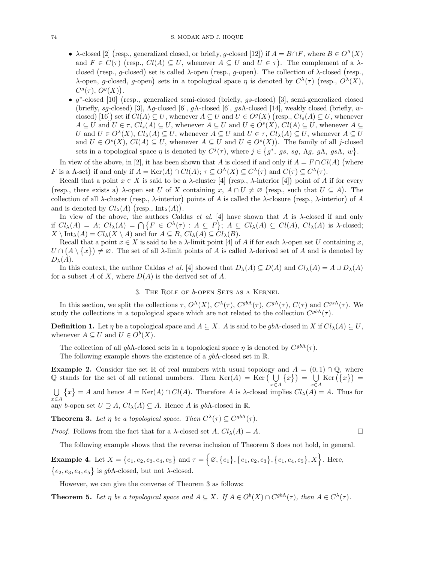- $\lambda$ -closed [2] (resp., generalized closed, or briefly, g-closed [12]) if  $A = B \cap F$ , where  $B \in O^{\Lambda}(X)$ and  $F \in C(\tau)$  (resp.,  $Cl(A) \subseteq U$ , whenever  $A \subseteq U$  and  $U \in \tau$ ). The complement of a  $\lambda$ closed (resp., g-closed) set is called  $\lambda$ -open (resp., g-open). The collection of  $\lambda$ -closed (resp., λ-open, g-closed, g-open) sets in a topological space η is denoted by  $C^{\lambda}(\tau)$  (resp.,  $O^{\lambda}(X)$ ,  $C^g(\tau), O^g(X)$ .
- g<sup>\*</sup>-closed [10] (resp., generalized semi-closed (briefly, gs-closed) [3], semi-generalized closed (briefly, sg-closed) [3],  $\Lambda$ g-closed [6], g $\Lambda$ -closed [6], gs $\Lambda$ -closed [14], weakly closed (briefly, wclosed) [16]) set if  $Cl(A) \subseteq U$ , whenever  $A \subseteq U$  and  $U \in O<sup>g</sup>(X)$  (resp.,  $Cl<sub>s</sub>(A) \subseteq U$ , whenever  $A \subseteq U$  and  $U \in \tau$ ,  $Cl_s(A) \subseteq U$ , whenever  $A \subseteq U$  and  $U \in O<sup>s</sup>(X)$ ,  $Cl(A) \subseteq U$ , whenever  $A \subseteq$ U and  $U \in O^{\lambda}(X)$ ,  $Cl_{\lambda}(A) \subseteq U$ , whenever  $A \subseteq U$  and  $U \in \tau$ ,  $Cl_{\lambda}(A) \subseteq U$ , whenever  $A \subseteq U$ and  $U \in O^{s}(X)$ ,  $Cl(A) \subseteq U$ , whenever  $A \subseteq U$  and  $U \in O^{s}(X)$ ). The family of all j-closed sets in a topological space  $\eta$  is denoted by  $C^{j}(\tau)$ , where  $j \in \{g^*, g_s, sg, \Lambda g, g\Lambda, gs\Lambda, w\}.$

In view of the above, in [2], it has been shown that A is closed if and only if  $A = F \cap Cl(A)$  (where F is a  $\Lambda$ -set) if and only if  $A = \text{Ker}(A) \cap Cl(A)$ ;  $\tau \subseteq O^{\Lambda}(X) \subseteq C^{\lambda}(\tau)$  and  $C(\tau) \subseteq C^{\lambda}(\tau)$ .

Recall that a point  $x \in X$  is said to be a  $\lambda$ -cluster [4] (resp.,  $\lambda$ -interior [4]) point of A if for every (resp., there exists a)  $\lambda$ -open set U of X containing x,  $A \cap U \neq \emptyset$  (resp., such that  $U \subseteq A$ ). The collection of all  $\lambda$ -cluster (resp.,  $\lambda$ -interior) points of A is called the  $\lambda$ -closure (resp.,  $\lambda$ -interior) of A and is denoted by  $Cl_{\lambda}(A)$  (resp.,  $\text{Int}_{\lambda}(A)$ ).

In view of the above, the authors Caldas *et al.* [4] have shown that A is  $\lambda$ -closed if and only if  $Cl_\lambda(A) = A$ ;  $Cl_\lambda(A) = \bigcap \{ F \in C^\lambda(\tau) : A \subseteq F \}$ ;  $A \subseteq Cl_\lambda(A) \subseteq Cl(A)$ ,  $Cl_\lambda(A)$  is  $\lambda$ -closed;  $X \setminus \text{Int}_{\lambda}(A) = Cl_{\lambda}(X \setminus A)$  and for  $A \subseteq B$ ,  $Cl_{\lambda}(A) \subseteq Cl_{\lambda}(B)$ .

Recall that a point  $x \in X$  is said to be a  $\lambda$ -limit point [4] of A if for each  $\lambda$ -open set U containing x,  $U \cap (A \setminus \{x\}) \neq \emptyset$ . The set of all  $\lambda$ -limit points of A is called  $\lambda$ -derived set of A and is denoted by  $D_{\lambda}(A)$ .

In this context, the author Caldas *et al.* [4] showed that  $D_{\lambda}(A) \subseteq D(A)$  and  $Cl_{\lambda}(A) = A \cup D_{\lambda}(A)$ for a subset A of X, where  $D(A)$  is the derived set of A.

# 3. The Role of b-open Sets as a Kernel

In this section, we split the collections  $\tau$ ,  $O^{\Lambda}(X)$ ,  $C^{\lambda}(\tau)$ ,  $C^{gb\Lambda}(\tau)$ ,  $C^{g\Lambda}(\tau)$ ,  $C(\tau)$  and  $C^{gs\Lambda}(\tau)$ . We study the collections in a topological space which are not related to the collection  $C^{gb\Lambda}(\tau)$ .

**Definition 1.** Let  $\eta$  be a topological space and  $A \subseteq X$ . A is said to be gbA-closed in X if  $Cl_{\lambda}(A) \subseteq U$ , whenever  $A \subseteq U$  and  $U \in O^b(X)$ .

The collection of all gb $\Lambda$ -closed sets in a topological space  $\eta$  is denoted by  $C^{gb\Lambda}(\tau)$ .

The following example shows the existence of a  $gb\Lambda$ -closed set in R.

**Example 2.** Consider the set R of real numbers with usual topology and  $A = (0,1) \cap \mathbb{Q}$ , where Q stands for the set of all rational numbers. Then  $\text{Ker}(A) = \text{Ker}(\bigcup$ x∈A  $\{x\}$  =  $\bigcup$ x∈A  $\text{Ker}(\{x\}) =$ 

U x∈A  $\{x\} = A$  and hence  $A = \text{Ker}(A) \cap Cl(A)$ . Therefore A is  $\lambda$ -closed implies  $Cl_{\lambda}(A) = A$ . Thus for any b-open set  $U \supseteq A$ ,  $Cl_{\lambda}(A) \subseteq A$ . Hence A is gb $\Lambda$ -closed in  $\mathbb{R}$ .

**Theorem 3.** Let  $\eta$  be a topological space. Then  $C^{\lambda}(\tau) \subseteq C^{gb\Lambda}(\tau)$ .

*Proof.* Follows from the fact that for a  $\lambda$ -closed set  $A, Cl_{\lambda}(A) = A$ .

The following example shows that the reverse inclusion of Theorem 3 does not hold, in general.

Example 4. Let  $X = \{e_1, e_2, e_3, e_4, e_5\}$  and  $\tau = \{\emptyset, \{e_1\}, \{e_1, e_2, e_3\}, \{e_1, e_4, e_5\}, X\}$ . Here,  ${e_2, e_3, e_4, e_5}$  is gbA-closed, but not  $\lambda$ -closed.

However, we can give the converse of Theorem 3 as follows:

**Theorem 5.** Let  $\eta$  be a topological space and  $A \subseteq X$ . If  $A \in O^b(X) \cap C^{gb\Lambda}(\tau)$ , then  $A \in C^{\lambda}(\tau)$ .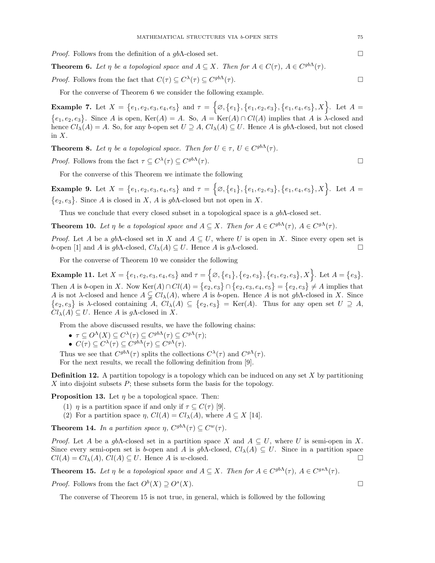*Proof.* Follows from the definition of a  $gb\Lambda$ -closed set.

**Theorem 6.** Let  $\eta$  be a topological space and  $A \subseteq X$ . Then for  $A \in C(\tau)$ ,  $A \in C^{gb\Lambda}(\tau)$ .

*Proof.* Follows from the fact that  $C(\tau) \subseteq C^{\lambda}(\tau) \subseteq C^{gb\Lambda}(\tau)$ .

For the converse of Theorem 6 we consider the following example.

Example 7. Let  $X = \{e_1, e_2, e_3, e_4, e_5\}$  and  $\tau = \{\emptyset, \{e_1\}, \{e_1, e_2, e_3\}, \{e_1, e_4, e_5\}, X\}$ . Let  $A =$  $\{e_1, e_2, e_3\}$ . Since A is open, Ker(A) = A. So,  $A = \text{Ker}(A) \cap Cl(A)$  implies that A is  $\lambda$ -closed and hence  $Cl_\lambda(A) = A$ . So, for any b-open set  $U \supseteq A$ ,  $Cl_\lambda(A) \subseteq U$ . Hence A is gbA-closed, but not closed in  $X$ .

**Theorem 8.** Let  $\eta$  be a topological space. Then for  $U \in \tau$ ,  $U \in C^{gb\Lambda}(\tau)$ .

*Proof.* Follows from the fact  $\tau \subseteq C^{\lambda}(\tau) \subseteq C^{gb\Lambda}(\tau)$ .

For the converse of this Theorem we intimate the following

Example 9. Let  $X = \{e_1, e_2, e_3, e_4, e_5\}$  and  $\tau = \{\emptyset, \{e_1\}, \{e_1, e_2, e_3\}, \{e_1, e_4, e_5\}, X\}$ . Let  $A =$  $\{e_2, e_3\}$ . Since A is closed in X, A is gbA-closed but not open in X.

Thus we conclude that every closed subset in a topological space is a  $q b \Lambda$ -closed set.

**Theorem 10.** Let  $\eta$  be a topological space and  $A \subseteq X$ . Then for  $A \in C^{gb\Lambda}(\tau)$ ,  $A \in C^{g\Lambda}(\tau)$ .

Proof. Let A be a gbA-closed set in X and  $A \subseteq U$ , where U is open in X. Since every open set is b-open [1] and A is gb $\Lambda$ -closed,  $Cl_{\lambda}(A) \subseteq U$ . Hence A is g $\Lambda$ -closed.

For the converse of Theorem 10 we consider the following

Example 11. Let  $X = \{e_1, e_2, e_3, e_4, e_5\}$  and  $\tau = \{\varnothing, \{e_1\}, \{e_2, e_3\}, \{e_1, e_2, e_3\}, X\}$ . Let  $A = \{e_3\}$ . Then A is b-open in X. Now  $\text{Ker}(A) \cap Cl(A) = \{e_2, e_3\} \cap \{e_2, e_3, e_4, e_5\} = \{e_2, e_3\} \neq A$  implies that A is not  $\lambda$ -closed and hence  $A \subsetneq Cl_{\lambda}(A)$ , where A is b-open. Hence A is not gbA-closed in X. Since  $\{e_2, e_3\}$  is  $\lambda$ -closed containing  $A, Cl_\lambda(A) \subseteq \{e_2, e_3\} = \text{Ker}(A)$ . Thus for any open set  $U \supseteq A$ ,  $Cl<sub>\lambda</sub>(A) \subseteq U$ . Hence A is g $\Lambda$ -closed in X.

From the above discussed results, we have the following chains:

- $\bullet \ \tau \subseteq O^{\Lambda}(X) \subseteq C^{\lambda}(\tau) \subseteq C^{gb\Lambda}(\tau) \subseteq C^{g\Lambda}(\tau);$
- $C(\tau) \subseteq C^{\lambda}(\tau) \subseteq C^{gb\Lambda}(\tau) \subseteq C^{g\Lambda}(\tau)$ .

Thus we see that  $C^{gb\Lambda}(\tau)$  splits the collections  $C^{\lambda}(\tau)$  and  $C^{g\Lambda}(\tau)$ .

For the next results, we recall the following definition from [9].

**Definition 12.** A partition topology is a topology which can be induced on any set X by partitioning  $X$  into disjoint subsets  $P$ ; these subsets form the basis for the topology.

**Proposition 13.** Let  $\eta$  be a topological space. Then:

- (1)  $\eta$  is a partition space if and only if  $\tau \subseteq C(\tau)$  [9].
- (2) For a partition space  $\eta$ ,  $Cl(A) = Cl_{\lambda}(A)$ , where  $A \subseteq X$  [14].

**Theorem 14.** In a partition space  $\eta$ ,  $C^{gb\Lambda}(\tau) \subseteq C^w(\tau)$ .

*Proof.* Let A be a gbA-closed set in a partition space X and  $A \subseteq U$ , where U is semi-open in X. Since every semi-open set is b-open and A is  $gb\Lambda$ -closed,  $Cl_{\lambda}(A) \subseteq U$ . Since in a partition space  $Cl(A) = Cl_{\lambda}(A), Cl(A) \subseteq U.$  Hence A is w-closed.

**Theorem 15.** Let  $\eta$  be a topological space and  $A \subseteq X$ . Then for  $A \in C^{gb\Lambda}(\tau)$ ,  $A \in C^{gs\Lambda}(\tau)$ .

*Proof.* Follows from the fact  $O^b(X) \supseteq O^s$  $(X)$ .

The converse of Theorem 15 is not true, in general, which is followed by the following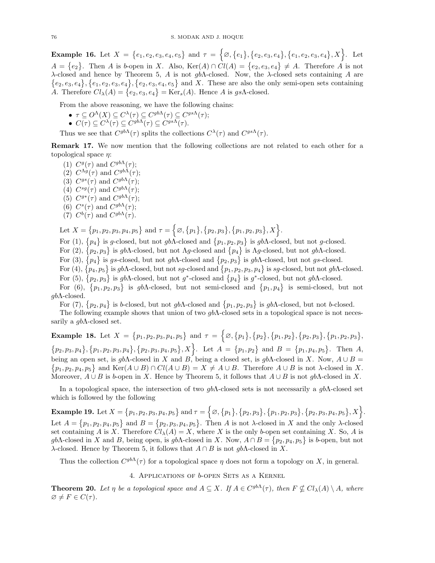Example 16. Let  $X = \{e_1, e_2, e_3, e_4, e_5\}$  and  $\tau = \{\emptyset, \{e_1\}, \{e_2, e_3, e_4\}, \{e_1, e_2, e_3, e_4\}, X\}$ . Let  $A = \{e_2\}.$  Then A is b-open in X. Also,  $\text{Ker}(A) \cap Cl(A) = \{e_2, e_3, e_4\} \neq A.$  Therefore A is not λ-closed and hence by Theorem 5, A is not gbΛ-closed. Now, the λ-closed sets containing A are  $\{e_2, e_3, e_4\}, \{e_1, e_2, e_3, e_4\}, \{e_2, e_3, e_4, e_5\}$  and X. These are also the only semi-open sets containing A. Therefore  $Cl_{\lambda}(A) = \{e_2, e_3, e_4\} = \text{Ker}_s(A)$ . Hence A is gsA-closed.

From the above reasoning, we have the following chains:

 $\bullet \ \tau \subseteq O^{\Lambda}(X) \subseteq C^{\lambda}(\tau) \subseteq C^{gb\Lambda}(\tau) \subseteq C^{gs\Lambda}(\tau);$ 

•  $C(\tau) \subseteq C^{\lambda}(\tau) \subseteq C^{gb\Lambda}(\tau) \subseteq C^{gs\Lambda}(\tau)$ .

Thus we see that  $C^{gb\Lambda}(\tau)$  splits the collections  $C^{\lambda}(\tau)$  and  $C^{gs\Lambda}(\tau)$ .

Remark 17. We now mention that the following collections are not related to each other for a topological space  $\eta$ :

(1)  $C^g(\tau)$  and  $C^{gb\Lambda}(\tau);$ (2)  $C^{\Lambda g}(\tau)$  and  $C^{gb\Lambda}(\tau);$ (3)  $C^{gs}(\tau)$  and  $C^{gb\Lambda}(\tau);$ (4)  $C^{sg}(\tau)$  and  $C^{gb\Lambda}(\tau);$ (5)  $C^{g*}(\tau)$  and  $C^{gb\Lambda}(\tau);$ (6)  $C^s(\tau)$  and  $C^{gb\Lambda}(\tau);$ (7)  $C^b(\tau)$  and  $C^{gb\Lambda}(\tau)$ .

Let  $X = \{p_1, p_2, p_3, p_4, p_5\}$  and  $\tau = \{\emptyset, \{p_1\}, \{p_2, p_3\}, \{p_1, p_2, p_3\}, X\}.$ 

For (1),  $\{p_4\}$  is g-closed, but not gbA-closed and  $\{p_1, p_2, p_3\}$  is gbA-closed, but not g-closed.

For (2),  $\{p_2, p_3\}$  is gbA-closed, but not Ag-closed and  $\{p_4\}$  is Ag-closed, but not gbA-closed.

For (3),  $\{p_4\}$  is gs-closed, but not gb $\Lambda$ -closed and  $\{p_2, p_3\}$  is gb $\Lambda$ -closed, but not gs-closed.

For (4),  $\{p_4, p_5\}$  is gb $\Lambda$ -closed, but not sg-closed and  $\{p_1, p_2, p_3, p_4\}$  is sg-closed, but not gb $\Lambda$ -closed. For (5),  $\{p_2, p_3\}$  is gbA-closed, but not g<sup>\*</sup>-closed and  $\{p_4\}$  is g<sup>\*</sup>-closed, but not gbA-closed.

For (6),  $\{p_1, p_2, p_3\}$  is gbA-closed, but not semi-closed and  $\{p_1, p_4\}$  is semi-closed, but not gbΛ-closed.

For (7),  $\{p_2, p_4\}$  is b-closed, but not gbA-closed and  $\{p_1, p_2, p_3\}$  is gbA-closed, but not b-closed.

The following example shows that union of two  $gb\Lambda$ -closed sets in a topological space is not necessarily a  $q b \Lambda$ -closed set.

Example 18. Let  $X = \{p_1, p_2, p_3, p_4, p_5\}$  and  $\tau = \{\emptyset, \{p_1\}, \{p_2\}, \{p_1, p_2\}, \{p_2, p_3\}, \{p_1, p_2, p_3\},\}$  $\{p_2, p_3, p_4\}, \{p_1, p_2, p_3, p_4\}, \{p_2, p_3, p_4, p_5\}, X$ . Let  $A = \{p_1, p_2\}$  and  $B = \{p_1, p_4, p_5\}$ . Then A, being an open set, is  $gb\Lambda$ -closed in X and B, being a closed set, is  $gb\Lambda$ -closed in X. Now,  $A \cup B =$  $\{p_1, p_2, p_4, p_5\}$  and  $\text{Ker}(A \cup B) \cap Cl(A \cup B) = X \neq A \cup B$ . Therefore  $A \cup B$  is not  $\lambda$ -closed in X. Moreover,  $A \cup B$  is b-open in X. Hence by Theorem 5, it follows that  $A \cup B$  is not gbA-closed in X.

In a topological space, the intersection of two  $gb\Lambda$ -closed sets is not necessarily a  $gb\Lambda$ -closed set which is followed by the following

Example 19. Let  $X = \{p_1, p_2, p_3, p_4, p_5\}$  and  $\tau = \{\varnothing, \{p_1\}, \{p_2, p_3\}, \{p_1, p_2, p_3\}, \{p_2, p_3, p_4, p_5\}, X\}.$ Let  $A = \{p_1, p_2, p_4, p_5\}$  and  $B = \{p_2, p_3, p_4, p_5\}$ . Then A is not  $\lambda$ -closed in X and the only  $\lambda$ -closed set containing A is X. Therefore  $Cl_{\lambda}(A) = X$ , where X is the only b-open set containing X. So, A is gbΛ-closed in X and B, being open, is gbΛ-closed in X. Now,  $A \cap B = \{p_2, p_4, p_5\}$  is b-open, but not λ-closed. Hence by Theorem 5, it follows that  $A ∩ B$  is not gbΛ-closed in X.

Thus the collection  $C^{gb\Lambda}(\tau)$  for a topological space  $\eta$  does not form a topology on X, in general.

4. Applications of b-open Sets as a Kernel

**Theorem 20.** Let  $\eta$  be a topological space and  $A \subseteq X$ . If  $A \in C^{gb\Lambda}(\tau)$ , then  $F \nsubseteq Cl_{\lambda}(A) \setminus A$ , where  $\varnothing \neq F \in C(\tau)$ .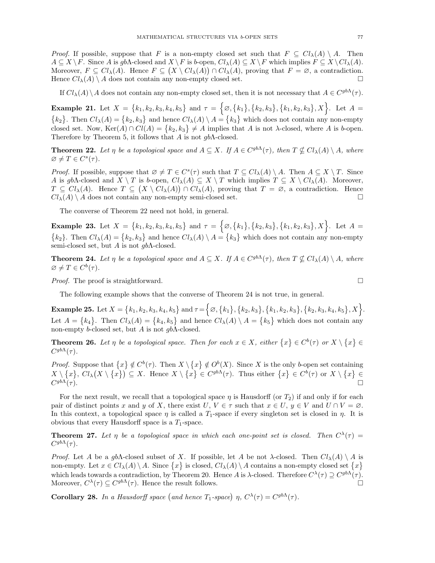*Proof.* If possible, suppose that F is a non-empty closed set such that  $F \subseteq Cl<sub>\lambda</sub>(A) \setminus A$ . Then  $A \subseteq X \setminus F$ . Since A is gb $\Lambda$ -closed and  $X \setminus F$  is b-open,  $Cl_{\lambda}(A) \subseteq X \setminus F$  which implies  $F \subseteq X \setminus Cl_{\lambda}(A)$ . Moreover,  $F \subseteq Cl_{\lambda}(A)$ . Hence  $F \subseteq (X \setminus Cl_{\lambda}(A)) \cap Cl_{\lambda}(A)$ , proving that  $F = \emptyset$ , a contradiction. Hence  $Cl_{\lambda}(A) \setminus A$  does not contain any non-empty closed set.

If  $Cl_\lambda(A) \setminus A$  does not contain any non-empty closed set, then it is not necessary that  $A \in C^{gb\Lambda}(\tau)$ .

Example 21. Let  $X = \{k_1, k_2, k_3, k_4, k_5\}$  and  $\tau = \{\emptyset, \{k_1\}, \{k_2, k_3\}, \{k_1, k_2, k_3\}, X\}$ . Let  $A =$  ${k_2}$ . Then  $Cl_\lambda(A) = {k_2, k_3}$  and hence  $Cl_\lambda(A) \setminus A = {k_3}$  which does not contain any non-empty closed set. Now,  $\text{Ker}(A) \cap Cl(A) = \{k_2, k_3\} \neq A$  implies that A is not  $\lambda$ -closed, where A is b-open. Therefore by Theorem 5, it follows that A is not  $gb\Lambda$ -closed.

**Theorem 22.** Let  $\eta$  be a topological space and  $A \subseteq X$ . If  $A \in C^{gb\Lambda}(\tau)$ , then  $T \nsubseteq Cl_{\lambda}(A) \setminus A$ , where  $\varnothing \neq T \in C^{s}(\tau).$ 

*Proof.* If possible, suppose that  $\emptyset \neq T \in C^{s}(\tau)$  such that  $T \subseteq Cl_{\lambda}(A) \setminus A$ . Then  $A \subseteq X \setminus T$ . Since A is gbA-closed and  $X \setminus T$  is b-open,  $Cl_\lambda(A) \subseteq X \setminus T$  which implies  $T \subseteq X \setminus Cl_\lambda(A)$ . Moreover,  $T \subseteq Cl_{\lambda}(A)$ . Hence  $T \subseteq (X \setminus Cl_{\lambda}(A)) \cap Cl_{\lambda}(A)$ , proving that  $T = \emptyset$ , a contradiction. Hence  $Cl_{\lambda}(A) \setminus A$  does not contain any non-empty semi-closed set.

The converse of Theorem 22 need not hold, in general.

Example 23. Let  $X = \{k_1, k_2, k_3, k_4, k_5\}$  and  $\tau = \{\emptyset, \{k_1\}, \{k_2, k_3\}, \{k_1, k_2, k_3\}, X\}$ . Let  $A =$  ${k_2}$ . Then  $Cl_\lambda(A) = {k_2, k_3}$  and hence  $Cl_\lambda(A) \setminus A = {k_3}$  which does not contain any non-empty semi-closed set, but A is not  $gb\Lambda$ -closed.

**Theorem 24.** Let  $\eta$  be a topological space and  $A \subseteq X$ . If  $A \in C^{gb\Lambda}(\tau)$ , then  $T \nsubseteq Cl_{\lambda}(A) \setminus A$ , where  $\varnothing \neq T \in C^b(\tau).$ 

*Proof.* The proof is straightforward.  $\Box$ 

The following example shows that the converse of Theorem 24 is not true, in general.

Example 25. Let  $X = \{k_1, k_2, k_3, k_4, k_5\}$  and  $\tau = \{ \varnothing, \{k_1\}, \{k_2, k_3\}, \{k_1, k_2, k_3\}, \{k_2, k_3, k_4, k_5\}, X \}$ . Let  $A = \{k_4\}$ . Then  $Cl_{\lambda}(A) = \{k_4, k_5\}$  and hence  $Cl_{\lambda}(A) \setminus A = \{k_5\}$  which does not contain any non-empty b-closed set, but A is not  $q b \Lambda$ -closed.

**Theorem 26.** Let  $\eta$  be a topological space. Then for each  $x \in X$ , either  $\{x\} \in C^b(\tau)$  or  $X \setminus \{x\} \in$  $C^{gb\Lambda}(\tau).$ 

*Proof.* Suppose that  $\{x\} \notin C^b(\tau)$ . Then  $X \setminus \{x\} \notin O^b(X)$ . Since X is the only b-open set containing  $X \setminus \{x\},\ Cl_{\lambda}(X \setminus \{x\}) \subseteq X.$  Hence  $X \setminus \{x\} \in C^{gb\Lambda}(\tau)$ . Thus either  $\{x\} \in C^b(\tau)$  or  $X \setminus \{x\} \in$  $C^{gb\Lambda}(\tau).$  $g b \Lambda(\tau)$ .

For the next result, we recall that a topological space  $\eta$  is Hausdorff (or  $T_2$ ) if and only if for each pair of distinct points x and y of X, there exist  $U, V \in \tau$  such that  $x \in U, y \in V$  and  $U \cap V = \emptyset$ . In this context, a topological space  $\eta$  is called a  $T_1$ -space if every singleton set is closed in  $\eta$ . It is obvious that every Hausdorff space is a  $T_1$ -space.

**Theorem 27.** Let  $\eta$  be a topological space in which each one-point set is closed. Then  $C^{\lambda}(\tau) =$  $C^{gb\Lambda}(\tau).$ 

*Proof.* Let A be a gbA-closed subset of X. If possible, let A be not  $\lambda$ -closed. Then  $Cl_{\lambda}(A) \setminus A$  is non-empty. Let  $x \in Cl_{\lambda}(A) \setminus A$ . Since  $\{x\}$  is closed,  $Cl_{\lambda}(A) \setminus A$  contains a non-empty closed set  $\{x\}$ which leads towards a contradiction, by Theorem 20. Hence A is  $\lambda$ -closed. Therefore  $C^{\lambda}(\tau) \supseteq C^{gb\Lambda}(\tau)$ . Moreover,  $C^{\lambda}(\tau) \subseteq C^{gb\Lambda}(\tau)$ . Hence the result follows.

**Corollary 28.** In a Hausdorff space (and hence  $T_1$ -space)  $\eta$ ,  $C^{\lambda}(\tau) = C^{gb\Lambda}(\tau)$ .

$$
\mathbb{L}
$$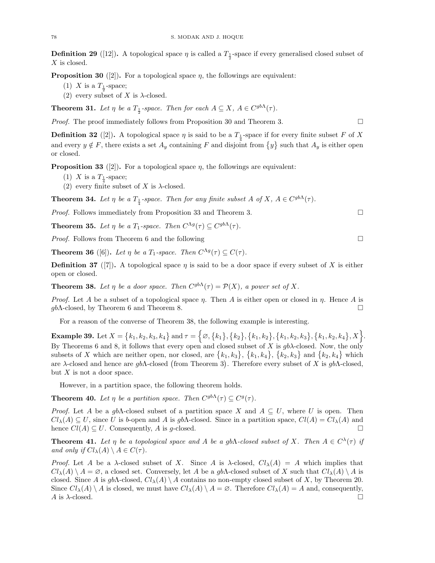**Definition 29** ([12]). A topological space  $\eta$  is called a  $T_{\frac{1}{2}}$ -space if every generalised closed subset of X is closed.

**Proposition 30** ([2]). For a topological space  $\eta$ , the followings are equivalent:

- (1) X is a  $T_{\frac{1}{2}}$ -space;
- (2) every subset of X is  $\lambda$ -closed.

**Theorem 31.** Let  $\eta$  be a  $T_{\frac{1}{2}}$ -space. Then for each  $A \subseteq X$ ,  $A \in C^{gb\Lambda}(\tau)$ .

*Proof.* The proof immediately follows from Proposition 30 and Theorem 3.

**Definition 32** ([2]). A topological space  $\eta$  is said to be a  $T_{\frac{1}{4}}$ -space if for every finite subset F of X and every  $y \notin F$ , there exists a set  $A_y$  containing F and disjoint from  $\{y\}$  such that  $A_y$  is either open or closed.

**Proposition 33** ([2]). For a topological space  $\eta$ , the followings are equivalent:

- (1) X is a  $T_{\frac{1}{4}}$ -space;
- (2) every finite subset of X is  $\lambda$ -closed.

**Theorem 34.** Let  $\eta$  be a  $T_{\frac{1}{4}}$ -space. Then for any finite subset A of X,  $A \in C^{gb\Lambda}(\tau)$ .

Proof. Follows immediately from Proposition 33 and Theorem 3.

**Theorem 35.** Let  $\eta$  be a  $T_1$ -space. Then  $C^{\Lambda g}(\tau) \subseteq C^{gb\Lambda}(\tau)$ .

*Proof.* Follows from Theorem 6 and the following  $\square$ 

**Theorem 36** ([6]). Let  $\eta$  be a  $T_1$ -space. Then  $C^{\Lambda g}(\tau) \subseteq C(\tau)$ .

**Definition 37** ([7]). A topological space  $\eta$  is said to be a door space if every subset of X is either open or closed.

**Theorem 38.** Let  $\eta$  be a door space. Then  $C^{gb\Lambda}(\tau) = \mathcal{P}(X)$ , a power set of X.

*Proof.* Let A be a subset of a topological space  $\eta$ . Then A is either open or closed in  $\eta$ . Hence A is  $gb\Lambda$ -closed, by Theorem 6 and Theorem 8.

For a reason of the converse of Theorem 38, the following example is interesting.

Example 39. Let  $X = \{k_1, k_2, k_3, k_4\}$  and  $\tau = \big\{\varnothing, \big\{k_1\big\}, \big\{k_2\big\}, \big\{k_1, k_2\big\}, \big\{k_1, k_2, k_3\big\}, \big\{k_1, k_2, k_4\big\}, X\big\}$ . By Theorems 6 and 8, it follows that every open and closed subset of X is  $gb\lambda$ -closed. Now, the only subsets of X which are neither open, nor closed, are  $\{k_1, k_3\}$ ,  $\{k_1, k_4\}$ ,  $\{k_2, k_3\}$  and  $\{k_2, k_4\}$  which are  $\lambda$ -closed and hence are gb $\Lambda$ -closed (from Theorem 3). Therefore every subset of X is gb $\Lambda$ -closed, but  $X$  is not a door space.

However, in a partition space, the following theorem holds.

**Theorem 40.** Let  $\eta$  be a partition space. Then  $C^{gb\Lambda}(\tau) \subseteq C^g(\tau)$ .

*Proof.* Let A be a gbA-closed subset of a partition space X and  $A \subseteq U$ , where U is open. Then  $Cl_\lambda(A) \subseteq U$ , since U is b-open and A is gbA-closed. Since in a partition space,  $Cl(A) = Cl_\lambda(A)$  and hence  $Cl(A) \subseteq U$ . Consequently, A is g-closed.

**Theorem 41.** Let  $\eta$  be a topological space and A be a gbA-closed subset of X. Then  $A \in C^{\lambda}(\tau)$  if and only if  $Cl_{\lambda}(A) \setminus A \in C(\tau)$ .

*Proof.* Let A be a  $\lambda$ -closed subset of X. Since A is  $\lambda$ -closed,  $Cl_{\lambda}(A) = A$  which implies that  $Cl_{\lambda}(A) \setminus A = \emptyset$ , a closed set. Conversely, let A be a gbA-closed subset of X such that  $Cl_{\lambda}(A) \setminus A$  is closed. Since A is gbA-closed,  $Cl_{\lambda}(A) \setminus A$  contains no non-empty closed subset of X, by Theorem 20. Since  $Cl_\lambda(A) \setminus A$  is closed, we must have  $Cl_\lambda(A) \setminus A = \emptyset$ . Therefore  $Cl_\lambda(A) = A$  and, consequently,  $A$  is  $\lambda$ -closed.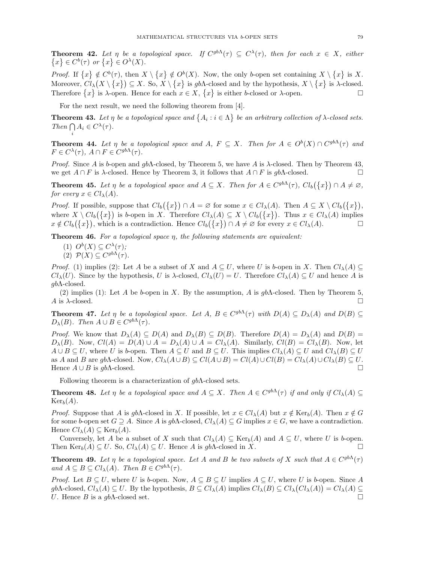**Theorem 42.** Let  $\eta$  be a topological space. If  $C^{gb\Lambda}(\tau) \subseteq C^{\lambda}(\tau)$ , then for each  $x \in X$ , either  $\{x\} \in C^b(\tau)$  or  $\{x\} \in O^{\lambda}(X)$ .

*Proof.* If  $\{x\} \notin C^b(\tau)$ , then  $X \setminus \{x\} \notin O^b(X)$ . Now, the only b-open set containing  $X \setminus \{x\}$  is X. Moreover,  $Cl_\lambda(X \setminus \{x\}) \subseteq X$ . So,  $X \setminus \{x\}$  is gbA-closed and by the hypothesis,  $X \setminus \{x\}$  is  $\lambda$ -closed. Therefore  $\{x\}$  is  $\lambda$ -open. Hence for each  $x \in X$ ,  $\{x\}$  is either b-closed or  $\lambda$ -open.

For the next result, we need the following theorem from [4].

**Theorem 43.** Let  $\eta$  be a topological space and  $\{A_i : i \in \Lambda\}$  be an arbitrary collection of  $\lambda$ -closed sets. Then  $\bigcap A_i \in C^{\lambda}(\tau)$ .

**Theorem 44.** Let  $\eta$  be a topological space and A,  $F \subseteq X$ . Then for  $A \in O^b(X) \cap C^{gb\Lambda}(\tau)$  and  $F \in C^{\lambda}(\tau)$ ,  $A \cap F \in C^{gb\Lambda}(\tau)$ .

*Proof.* Since A is b-open and gb $\Lambda$ -closed, by Theorem 5, we have A is  $\lambda$ -closed. Then by Theorem 43, we get  $A \cap F$  is  $\lambda$ -closed. Hence by Theorem 3, it follows that  $A \cap F$  is gb $\Lambda$ -closed.

**Theorem 45.** Let  $\eta$  be a topological space and  $A \subseteq X$ . Then for  $A \in C^{gb\Lambda}(\tau)$ ,  $Cl_b(\lbrace x \rbrace) \cap A \neq \emptyset$ , for every  $x \in Cl_{\lambda}(A)$ .

*Proof.* If possible, suppose that  $Cl_b({x}) \cap A = \emptyset$  for some  $x \in Cl_{\lambda}(A)$ . Then  $A \subseteq X \setminus Cl_b({x})$ , where  $X \setminus Cl_b(\lbrace x \rbrace)$  is b-open in X. Therefore  $Cl_{\lambda}(A) \subseteq X \setminus Cl_b(\lbrace x \rbrace)$ . Thus  $x \in Cl_{\lambda}(A)$  implies  $x \notin Cl_b(\lbrace x \rbrace)$ , which is a contradiction. Hence  $Cl_b(\lbrace x \rbrace) \cap A \neq \emptyset$  for every  $x \in Cl_{\lambda}(A)$ .

**Theorem 46.** For a topological space  $\eta$ , the following statements are equivalent:

(1)  $O^b(X) \subseteq C^{\lambda}(\tau);$ 

i

(2)  $\mathcal{P}(X) \subseteq C^{gb\Lambda}(\tau)$ .

*Proof.* (1) implies (2): Let A be a subset of X and  $A \subseteq U$ , where U is b-open in X. Then  $Cl_{\lambda}(A) \subseteq$  $Cl<sub>\lambda</sub>(U)$ . Since by the hypothesis, U is  $\lambda$ -closed,  $Cl<sub>\lambda</sub>(U) = U$ . Therefore  $Cl<sub>\lambda</sub>(A) \subseteq U$  and hence A is  $gb$ Λ-closed.

(2) implies (1): Let A be b-open in X. By the assumption, A is  $gb\Lambda$ -closed. Then by Theorem 5,  $A$  is  $\lambda$ -closed.

**Theorem 47.** Let  $\eta$  be a topological space. Let  $A, B \in C^{gb\Lambda}(\tau)$  with  $D(A) \subseteq D_{\lambda}(A)$  and  $D(B) \subseteq$  $D_{\lambda}(B)$ . Then  $A \cup B \in C^{gb\Lambda}(\tau)$ .

*Proof.* We know that  $D_{\lambda}(A) \subseteq D(A)$  and  $D_{\lambda}(B) \subseteq D(B)$ . Therefore  $D(A) = D_{\lambda}(A)$  and  $D(B) =$  $D_{\lambda}(B)$ . Now,  $Cl(A) = D(A) \cup A = D_{\lambda}(A) \cup A = Cl_{\lambda}(A)$ . Similarly,  $Cl(B) = Cl_{\lambda}(B)$ . Now, let  $A \cup B \subseteq U$ , where U is b-open. Then  $A \subseteq U$  and  $B \subseteq U$ . This implies  $Cl_{\lambda}(A) \subseteq U$  and  $Cl_{\lambda}(B) \subseteq U$ as A and B are gb $\Lambda$ -closed. Now,  $Cl_{\lambda}(A \cup B) \subseteq Cl(A \cup B) = Cl(A) \cup Cl(B) = Cl_{\lambda}(A) \cup Cl_{\lambda}(B) \subseteq U$ . Hence  $A \cup B$  is gb $\Lambda$ -closed.

Following theorem is a characterization of gbΛ-closed sets.

**Theorem 48.** Let  $\eta$  be a topological space and  $A \subseteq X$ . Then  $A \in C^{gb\Lambda}(\tau)$  if and only if  $Cl_{\lambda}(A) \subseteq$  $\text{Ker}_b(A)$ .

*Proof.* Suppose that A is gbA-closed in X. If possible, let  $x \in Cl_{\lambda}(A)$  but  $x \notin \text{Ker}_{b}(A)$ . Then  $x \notin G$ for some b-open set  $G \supseteq A$ . Since A is gbA-closed,  $Cl_{\lambda}(A) \subseteq G$  implies  $x \in G$ , we have a contradiction. Hence  $Cl_{\lambda}(A) \subseteq \text{Ker}_{b}(A)$ .

Conversely, let A be a subset of X such that  $Cl_{\lambda}(A) \subseteq \text{Ker}_{b}(A)$  and  $A \subseteq U$ , where U is b-open. Then  $\text{Ker}_b(A) \subseteq U$ . So,  $Cl_\lambda(A) \subseteq U$ . Hence A is gbA-closed in X.

**Theorem 49.** Let  $\eta$  be a topological space. Let A and B be two subsets of X such that  $A \in C^{gb\Lambda}(\tau)$ and  $A \subseteq B \subseteq Cl_{\lambda}(A)$ . Then  $B \in C^{gb\Lambda}(\tau)$ .

*Proof.* Let  $B \subseteq U$ , where U is b-open. Now,  $A \subseteq B \subseteq U$  implies  $A \subseteq U$ , where U is b-open. Since A gbA-closed,  $Cl_\lambda(A) \subseteq U$ . By the hypothesis,  $B \subseteq Cl_\lambda(A)$  implies  $Cl_\lambda(B) \subseteq Cl_\lambda(Cl_\lambda(A)) = Cl_\lambda(A) \subseteq$ U. Hence B is a gb $\Lambda$ -closed set.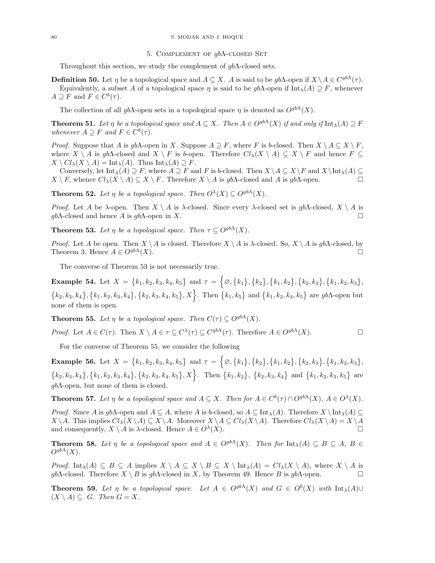#### 80 S. MODAK AND J. HOQUE

### 5. Complement of gbΛ-closed Set

Throughout this section, we study the complement of  $gb\Lambda$ -closed sets.

**Definition 50.** Let  $\eta$  be a topological space and  $A \subseteq X$ . A is said to be  $gb\Lambda$ -open if  $X \setminus A \in C^{gb\Lambda}(\tau)$ . Equivalently, a subset A of a topological space  $\eta$  is said to be  $\phi b\Lambda$ -open if  $\text{Int}_{\lambda}(A) \supset F$ , whenever  $A \supseteq F$  and  $F \in C^b(\tau)$ .

The collection of all  $q\bar{b}$ A-open sets in a topological space  $\eta$  is denoted as  $O^{gb\Lambda}(X)$ .

**Theorem 51.** Let  $\eta$  be a topological space and  $A \subseteq X$ . Then  $A \in O^{gb\Lambda}(X)$  if and only if  $\text{Int}_{\lambda}(A) \supset F$ whenever  $A \supseteq F$  and  $F \in C^b(\tau)$ .

*Proof.* Suppose that A is gbA-open in X. Suppose  $A \supseteq F$ , where F is b-closed. Then  $X \setminus A \subseteq X \setminus F$ . where  $X \setminus A$  is gb $\Lambda$ -closed and  $X \setminus F$  is b-open. Therefore  $Cl_{\lambda}(X \setminus A) \subseteq X \setminus F$  and hence  $F \subseteq$  $X \setminus Cl_\lambda(X \setminus A) = \text{Int}_\lambda(A)$ . Thus  $\text{Int}_\lambda(A) \supseteq F$ .

Conversely, let  $\text{Int}_{\lambda}(A) \supseteq F$ , where  $A \supseteq F$  and F is b-closed. Then  $X \setminus A \subseteq X \setminus F$  and  $X \setminus \text{Int}_{\lambda}(A) \subseteq$  $X \setminus F$ , whence  $Cl_{\lambda}(X \setminus A) \subseteq X \setminus F$ . Therefore  $X \setminus A$  is gbA-closed and A is gbA-open.

**Theorem 52.** Let  $\eta$  be a topological space. Then  $O^{\lambda}(X) \subseteq O^{gb\Lambda}(X)$ .

*Proof.* Let A be  $\lambda$ -open. Then  $X \setminus A$  is  $\lambda$ -closed. Since every  $\lambda$ -closed set is  $gb\Lambda$ -closed,  $X \setminus A$  is  $q \cdot b \Lambda$ -closed and hence A is  $q \cdot b \Lambda$ -open in X.

**Theorem 53.** Let  $\eta$  be a topological space. Then  $\tau \subseteq O^{gb\Lambda}(X)$ .

*Proof.* Let A be open. Then  $X \setminus A$  is closed. Therefore  $X \setminus A$  is  $\lambda$ -closed. So,  $X \setminus A$  is  $gb\Lambda$ -closed, by Theorem 3. Hence  $A \in O<sup>gb\Lambda</sup>(X)$ .

The converse of Theorem 53 is not necessarily true.

Example 54. Let  $X = \{k_1, k_2, k_3, k_4, k_5\}$  and  $\tau = \{\emptyset, \{k_1\}, \{k_2\}, \{k_1, k_2\}, \{k_2, k_3\}, \{k_1, k_2, k_3\},\$  $\{k_2, k_3, k_4\}, \{k_1, k_2, k_3, k_4\}, \{k_2, k_3, k_4, k_5\}, X$ . Then  $\{k_1, k_5\}$  and  $\{k_1, k_2, k_4, k_5\}$  are gbA-open but none of them is open.

**Theorem 55.** Let  $\eta$  be a topological space. Then  $C(\tau) \subset O^{gb\Lambda}(X)$ .

*Proof.* Let  $A \in C(\tau)$ . Then  $X \setminus A \in \tau \subseteq C^{\lambda}(\tau) \subseteq C^{gb\Lambda}(\tau)$ . Therefore  $A \in O^{gb\Lambda}(X)$ .

For the converse of Theorem 55, we consider the following

Example 56. Let  $X = \{k_1, k_2, k_3, k_4, k_5\}$  and  $\tau = \{\emptyset, \{k_1\}, \{k_2\}, \{k_1, k_2\}, \{k_2, k_3\}, \{k_1, k_2, k_3\},\$  $\{k_2, k_3, k_4\}, \{k_1, k_2, k_3, k_4\}, \{k_2, k_3, k_4, k_5\}, X\}$ . Then  $\{k_1, k_2\}, \{k_2, k_3, k_4\}$  and  $\{k_1, k_2, k_3, k_5\}$  are  $q b \Lambda$ -open, but none of them is closed.

**Theorem 57.** Let  $\eta$  be a topological space and  $A \subseteq X$ . Then for  $A \in C^b(\tau) \cap O^{gb\Lambda}(X)$ ,  $A \in O^{\lambda}(X)$ .

*Proof.* Since A is gb $\Lambda$ -open and  $A \subseteq A$ , where A is b-closed, so  $A \subseteq \text{Int}_{\lambda}(A)$ . Therefore  $X \setminus \text{Int}_{\lambda}(A) \subseteq$  $X \setminus A$ . This implies  $Cl_\lambda(X \setminus A) \subseteq X \setminus A$ . Moreover  $X \setminus A \subseteq Cl_\lambda(X \setminus A)$ . Therefore  $Cl_\lambda(X \setminus A) = X \setminus A$ and consequently,  $X \setminus A$  is  $\lambda$ -closed. Hence  $A \in O^{\lambda}(X)$ .  $(X)$ .

**Theorem 58.** Let  $\eta$  be a topological space and  $A \in O^{gb\Lambda}(X)$ . Then for  $\text{Int}_{\lambda}(A) \subseteq B \subseteq A$ ,  $B \in$  $O^{gb\Lambda}(X)$ .

*Proof.* Int<sub> $\lambda$ </sub>(A)  $\subseteq$  B  $\subseteq$  A implies  $X \setminus A \subseteq X \setminus B \subseteq X \setminus \text{Int}_{\lambda}(A) = Cl_{\lambda}(X \setminus A)$ , where  $X \setminus A$  is  $q\bar{b}\Lambda$ -closed. Therefore  $X \setminus B$  is  $q\bar{b}\Lambda$ -closed in X, by Theorem 49. Hence B is  $q\bar{b}\Lambda$ -open.

**Theorem 59.** Let  $\eta$  be a topological space. Let  $A \in O^{gb\Lambda}(X)$  and  $G \in O^b(X)$  with  $\text{Int}_{\lambda}(A) \cup$  $(X \setminus A) \subseteq G$ . Then  $G = X$ .